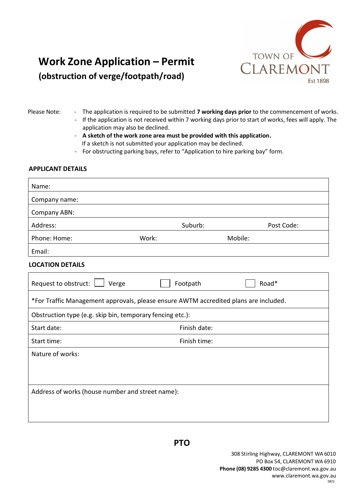

## **Work Zone Application – Permit (obstruction of verge/footpath/road)**

- Please Note: The application is required to be submitted **7 working days prior** to the commencement of works.
	- If the application is not received within 7 working days prior to start of works, fees will apply. The application may also be declined.
	- **A sketch of the work zone area must be provided with this application.**
	- If a sketch is not submitted your application may be declined.
	- For obstructing parking bays, refer to "Application to hire parking bay" form.

## **APPLICANT DETAILS**

| Name:                                                                                |              |            |  |  |
|--------------------------------------------------------------------------------------|--------------|------------|--|--|
| Company name:                                                                        |              |            |  |  |
| Company ABN:                                                                         |              |            |  |  |
| Address:                                                                             | Suburb:      | Post Code: |  |  |
| Phone: Home:                                                                         | Work:        | Mobile:    |  |  |
| Email:                                                                               |              |            |  |  |
| <b>LOCATION DETAILS</b>                                                              |              |            |  |  |
| Request to obstruct:<br>Verge                                                        | Footpath     | Road*      |  |  |
| *For Traffic Management approvals, please ensure AWTM accredited plans are included. |              |            |  |  |
| Obstruction type (e.g. skip bin, temporary fencing etc.):                            |              |            |  |  |
| Start date:                                                                          | Finish date: |            |  |  |
| Start time:                                                                          | Finish time: |            |  |  |
| Nature of works:                                                                     |              |            |  |  |
|                                                                                      |              |            |  |  |
|                                                                                      |              |            |  |  |
| Address of works (house number and street name):                                     |              |            |  |  |
|                                                                                      |              |            |  |  |
|                                                                                      |              |            |  |  |